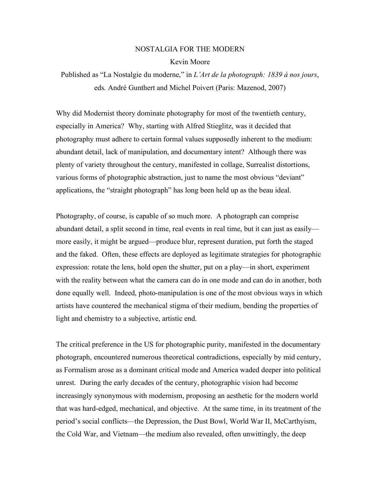## NOSTALGIA FOR THE MODERN Kevin Moore

Published as "La Nostalgie du moderne," in *L'Art de la photograph: 1839 à nos jours*, eds. André Gunthert and Michel Poivert (Paris: Mazenod, 2007)

Why did Modernist theory dominate photography for most of the twentieth century, especially in America? Why, starting with Alfred Stieglitz, was it decided that photography must adhere to certain formal values supposedly inherent to the medium: abundant detail, lack of manipulation, and documentary intent? Although there was plenty of variety throughout the century, manifested in collage, Surrealist distortions, various forms of photographic abstraction, just to name the most obvious "deviant" applications, the "straight photograph" has long been held up as the beau ideal.

Photography, of course, is capable of so much more. A photograph can comprise abundant detail, a split second in time, real events in real time, but it can just as easily more easily, it might be argued—produce blur, represent duration, put forth the staged and the faked. Often, these effects are deployed as legitimate strategies for photographic expression: rotate the lens, hold open the shutter, put on a play—in short, experiment with the reality between what the camera can do in one mode and can do in another, both done equally well. Indeed, photo-manipulation is one of the most obvious ways in which artists have countered the mechanical stigma of their medium, bending the properties of light and chemistry to a subjective, artistic end.

The critical preference in the US for photographic purity, manifested in the documentary photograph, encountered numerous theoretical contradictions, especially by mid century, as Formalism arose as a dominant critical mode and America waded deeper into political unrest. During the early decades of the century, photographic vision had become increasingly synonymous with modernism, proposing an aesthetic for the modern world that was hard-edged, mechanical, and objective. At the same time, in its treatment of the period's social conflicts—the Depression, the Dust Bowl, World War II, McCarthyism, the Cold War, and Vietnam—the medium also revealed, often unwittingly, the deep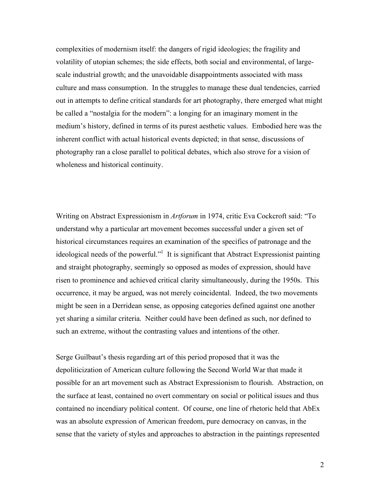complexities of modernism itself: the dangers of rigid ideologies; the fragility and volatility of utopian schemes; the side effects, both social and environmental, of largescale industrial growth; and the unavoidable disappointments associated with mass culture and mass consumption. In the struggles to manage these dual tendencies, carried out in attempts to define critical standards for art photography, there emerged what might be called a "nostalgia for the modern": a longing for an imaginary moment in the medium's history, defined in terms of its purest aesthetic values. Embodied here was the inherent conflict with actual historical events depicted; in that sense, discussions of photography ran a close parallel to political debates, which also strove for a vision of wholeness and historical continuity.

Writing on Abstract Expressionism in *Artforum* in 1974, critic Eva Cockcroft said: "To understand why a particular art movement becomes successful under a given set of historical circumstances requires an examination of the specifics of patronage and the ideological needs of the powerful."<sup>1</sup> It is significant that Abstract Expressionist painting and straight photography, seemingly so opposed as modes of expression, should have risen to prominence and achieved critical clarity simultaneously, during the 1950s. This occurrence, it may be argued, was not merely coincidental. Indeed, the two movements might be seen in a Derridean sense, as opposing categories defined against one another yet sharing a similar criteria. Neither could have been defined as such, nor defined to such an extreme, without the contrasting values and intentions of the other.

Serge Guilbaut's thesis regarding art of this period proposed that it was the depoliticization of American culture following the Second World War that made it possible for an art movement such as Abstract Expressionism to flourish. Abstraction, on the surface at least, contained no overt commentary on social or political issues and thus contained no incendiary political content. Of course, one line of rhetoric held that AbEx was an absolute expression of American freedom, pure democracy on canvas, in the sense that the variety of styles and approaches to abstraction in the paintings represented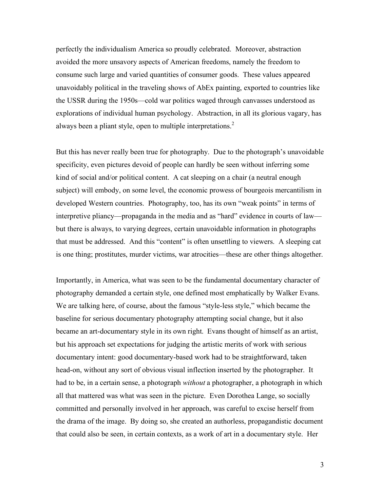perfectly the individualism America so proudly celebrated. Moreover, abstraction avoided the more unsavory aspects of American freedoms, namely the freedom to consume such large and varied quantities of consumer goods. These values appeared unavoidably political in the traveling shows of AbEx painting, exported to countries like the USSR during the 1950s—cold war politics waged through canvasses understood as explorations of individual human psychology. Abstraction, in all its glorious vagary, has always been a pliant style, open to multiple interpretations.<sup>2</sup>

But this has never really been true for photography. Due to the photograph's unavoidable specificity, even pictures devoid of people can hardly be seen without inferring some kind of social and/or political content. A cat sleeping on a chair (a neutral enough subject) will embody, on some level, the economic prowess of bourgeois mercantilism in developed Western countries. Photography, too, has its own "weak points" in terms of interpretive pliancy—propaganda in the media and as "hard" evidence in courts of law but there is always, to varying degrees, certain unavoidable information in photographs that must be addressed. And this "content" is often unsettling to viewers. A sleeping cat is one thing; prostitutes, murder victims, war atrocities—these are other things altogether.

Importantly, in America, what was seen to be the fundamental documentary character of photography demanded a certain style, one defined most emphatically by Walker Evans. We are talking here, of course, about the famous "style-less style," which became the baseline for serious documentary photography attempting social change, but it also became an art-documentary style in its own right. Evans thought of himself as an artist, but his approach set expectations for judging the artistic merits of work with serious documentary intent: good documentary-based work had to be straightforward, taken head-on, without any sort of obvious visual inflection inserted by the photographer. It had to be, in a certain sense, a photograph *without* a photographer, a photograph in which all that mattered was what was seen in the picture. Even Dorothea Lange, so socially committed and personally involved in her approach, was careful to excise herself from the drama of the image. By doing so, she created an authorless, propagandistic document that could also be seen, in certain contexts, as a work of art in a documentary style. Her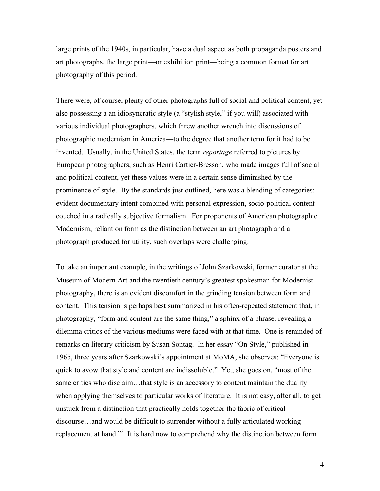large prints of the 1940s, in particular, have a dual aspect as both propaganda posters and art photographs, the large print—or exhibition print—being a common format for art photography of this period.

There were, of course, plenty of other photographs full of social and political content, yet also possessing a an idiosyncratic style (a "stylish style," if you will) associated with various individual photographers, which threw another wrench into discussions of photographic modernism in America—to the degree that another term for it had to be invented. Usually, in the United States, the term *reportage* referred to pictures by European photographers, such as Henri Cartier-Bresson, who made images full of social and political content, yet these values were in a certain sense diminished by the prominence of style. By the standards just outlined, here was a blending of categories: evident documentary intent combined with personal expression, socio-political content couched in a radically subjective formalism. For proponents of American photographic Modernism, reliant on form as the distinction between an art photograph and a photograph produced for utility, such overlaps were challenging.

To take an important example, in the writings of John Szarkowski, former curator at the Museum of Modern Art and the twentieth century's greatest spokesman for Modernist photography, there is an evident discomfort in the grinding tension between form and content. This tension is perhaps best summarized in his often-repeated statement that, in photography, "form and content are the same thing," a sphinx of a phrase, revealing a dilemma critics of the various mediums were faced with at that time. One is reminded of remarks on literary criticism by Susan Sontag. In her essay "On Style," published in 1965, three years after Szarkowski's appointment at MoMA, she observes: "Everyone is quick to avow that style and content are indissoluble." Yet, she goes on, "most of the same critics who disclaim…that style is an accessory to content maintain the duality when applying themselves to particular works of literature. It is not easy, after all, to get unstuck from a distinction that practically holds together the fabric of critical discourse…and would be difficult to surrender without a fully articulated working replacement at hand."<sup>3</sup> It is hard now to comprehend why the distinction between form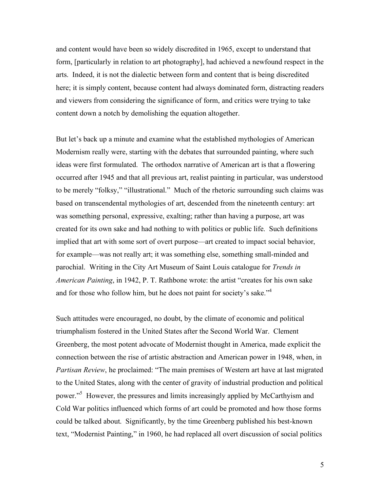and content would have been so widely discredited in 1965, except to understand that form, [particularly in relation to art photography], had achieved a newfound respect in the arts. Indeed, it is not the dialectic between form and content that is being discredited here; it is simply content, because content had always dominated form, distracting readers and viewers from considering the significance of form, and critics were trying to take content down a notch by demolishing the equation altogether.

But let's back up a minute and examine what the established mythologies of American Modernism really were, starting with the debates that surrounded painting, where such ideas were first formulated. The orthodox narrative of American art is that a flowering occurred after 1945 and that all previous art, realist painting in particular, was understood to be merely "folksy," "illustrational." Much of the rhetoric surrounding such claims was based on transcendental mythologies of art, descended from the nineteenth century: art was something personal, expressive, exalting; rather than having a purpose, art was created for its own sake and had nothing to with politics or public life. Such definitions implied that art with some sort of overt purpose—art created to impact social behavior, for example—was not really art; it was something else, something small-minded and parochial. Writing in the City Art Museum of Saint Louis catalogue for *Trends in American Painting*, in 1942, P. T. Rathbone wrote: the artist "creates for his own sake and for those who follow him, but he does not paint for society's sake."<sup>4</sup>

Such attitudes were encouraged, no doubt, by the climate of economic and political triumphalism fostered in the United States after the Second World War. Clement Greenberg, the most potent advocate of Modernist thought in America, made explicit the connection between the rise of artistic abstraction and American power in 1948, when, in *Partisan Review*, he proclaimed: "The main premises of Western art have at last migrated to the United States, along with the center of gravity of industrial production and political power."<sup>5</sup> However, the pressures and limits increasingly applied by McCarthyism and Cold War politics influenced which forms of art could be promoted and how those forms could be talked about. Significantly, by the time Greenberg published his best-known text, "Modernist Painting," in 1960, he had replaced all overt discussion of social politics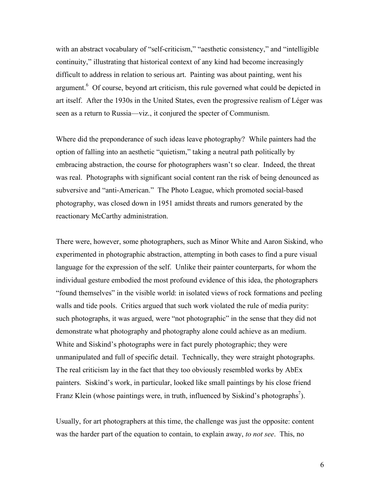with an abstract vocabulary of "self-criticism," "aesthetic consistency," and "intelligible continuity," illustrating that historical context of any kind had become increasingly difficult to address in relation to serious art. Painting was about painting, went his argument.<sup>6</sup> Of course, beyond art criticism, this rule governed what could be depicted in art itself. After the 1930s in the United States, even the progressive realism of Léger was seen as a return to Russia—viz., it conjured the specter of Communism.

Where did the preponderance of such ideas leave photography? While painters had the option of falling into an aesthetic "quietism," taking a neutral path politically by embracing abstraction, the course for photographers wasn't so clear. Indeed, the threat was real. Photographs with significant social content ran the risk of being denounced as subversive and "anti-American." The Photo League, which promoted social-based photography, was closed down in 1951 amidst threats and rumors generated by the reactionary McCarthy administration.

There were, however, some photographers, such as Minor White and Aaron Siskind, who experimented in photographic abstraction, attempting in both cases to find a pure visual language for the expression of the self. Unlike their painter counterparts, for whom the individual gesture embodied the most profound evidence of this idea, the photographers "found themselves" in the visible world: in isolated views of rock formations and peeling walls and tide pools. Critics argued that such work violated the rule of media purity: such photographs, it was argued, were "not photographic" in the sense that they did not demonstrate what photography and photography alone could achieve as an medium. White and Siskind's photographs were in fact purely photographic; they were unmanipulated and full of specific detail. Technically, they were straight photographs. The real criticism lay in the fact that they too obviously resembled works by AbEx painters. Siskind's work, in particular, looked like small paintings by his close friend Franz Klein (whose paintings were, in truth, influenced by Siskind's photographs<sup>7</sup>).

Usually, for art photographers at this time, the challenge was just the opposite: content was the harder part of the equation to contain, to explain away, *to not see*. This, no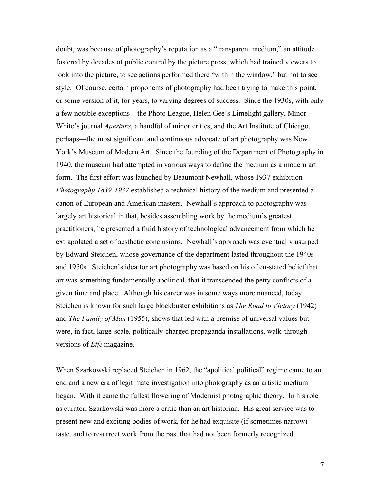doubt, was because of photography's reputation as a "transparent medium," an attitude fostered by decades of public control by the picture press, which had trained viewers to look into the picture, to see actions performed there "within the window," but not to see style. Of course, certain proponents of photography had been trying to make this point, or some version of it, for years, to varying degrees of success. Since the 1930s, with only a few notable exceptions—the Photo League, Helen Gee's Limelight gallery, Minor White's journal *Aperture*, a handful of minor critics, and the Art Institute of Chicago, perhaps—the most significant and continuous advocate of art photography was New York's Museum of Modern Art. Since the founding of the Department of Photography in 1940, the museum had attempted in various ways to define the medium as a modern art form. The first effort was launched by Beaumont Newhall, whose 1937 exhibition *Photography 1839-1937* established a technical history of the medium and presented a canon of European and American masters. Newhall's approach to photography was largely art historical in that, besides assembling work by the medium's greatest practitioners, he presented a fluid history of technological advancement from which he extrapolated a set of aesthetic conclusions. Newhall's approach was eventually usurped by Edward Steichen, whose governance of the department lasted throughout the 1940s and 1950s. Steichen's idea for art photography was based on his often-stated belief that art was something fundamentally apolitical, that it transcended the petty conflicts of a given time and place. Although his career was in some ways more nuanced, today Steichen is known for such large blockbuster exhibitions as *The Road to Victory* (1942) and *The Family of Man* (1955), shows that led with a premise of universal values but were, in fact, large-scale, politically-charged propaganda installations, walk-through versions of *Life* magazine.

When Szarkowski replaced Steichen in 1962, the "apolitical political" regime came to an end and a new era of legitimate investigation into photography as an artistic medium began. With it came the fullest flowering of Modernist photographic theory. In his role as curator, Szarkowski was more a critic than an art historian. His great service was to present new and exciting bodies of work, for he had exquisite (if sometimes narrow) taste, and to resurrect work from the past that had not been formerly recognized.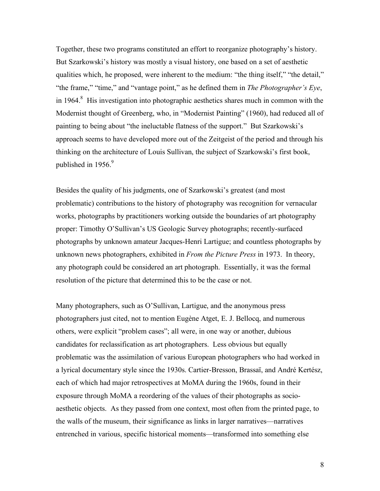Together, these two programs constituted an effort to reorganize photography's history. But Szarkowski's history was mostly a visual history, one based on a set of aesthetic qualities which, he proposed, were inherent to the medium: "the thing itself," "the detail," "the frame," "time," and "vantage point," as he defined them in *The Photographer's Eye*, in 1964. $8$  His investigation into photographic aesthetics shares much in common with the Modernist thought of Greenberg, who, in "Modernist Painting" (1960), had reduced all of painting to being about "the ineluctable flatness of the support." But Szarkowski's approach seems to have developed more out of the Zeitgeist of the period and through his thinking on the architecture of Louis Sullivan, the subject of Szarkowski's first book, published in 1956.<sup>9</sup>

Besides the quality of his judgments, one of Szarkowski's greatest (and most problematic) contributions to the history of photography was recognition for vernacular works, photographs by practitioners working outside the boundaries of art photography proper: Timothy O'Sullivan's US Geologic Survey photographs; recently-surfaced photographs by unknown amateur Jacques-Henri Lartigue; and countless photographs by unknown news photographers, exhibited in *From the Picture Press* in 1973. In theory, any photograph could be considered an art photograph. Essentially, it was the formal resolution of the picture that determined this to be the case or not.

Many photographers, such as O'Sullivan, Lartigue, and the anonymous press photographers just cited, not to mention Eugène Atget, E. J. Bellocq, and numerous others, were explicit "problem cases"; all were, in one way or another, dubious candidates for reclassification as art photographers. Less obvious but equally problematic was the assimilation of various European photographers who had worked in a lyrical documentary style since the 1930s. Cartier-Bresson, Brassaï, and André Kertész, each of which had major retrospectives at MoMA during the 1960s, found in their exposure through MoMA a reordering of the values of their photographs as socioaesthetic objects. As they passed from one context, most often from the printed page, to the walls of the museum, their significance as links in larger narratives—narratives entrenched in various, specific historical moments—transformed into something else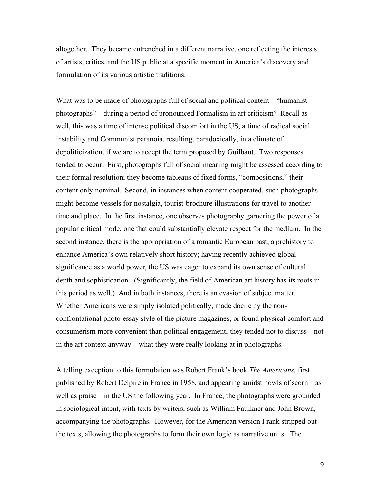altogether. They became entrenched in a different narrative, one reflecting the interests of artists, critics, and the US public at a specific moment in America's discovery and formulation of its various artistic traditions.

What was to be made of photographs full of social and political content—"humanist photographs"—during a period of pronounced Formalism in art criticism? Recall as well, this was a time of intense political discomfort in the US, a time of radical social instability and Communist paranoia, resulting, paradoxically, in a climate of depoliticization, if we are to accept the term proposed by Guilbaut. Two responses tended to occur. First, photographs full of social meaning might be assessed according to their formal resolution; they become tableaus of fixed forms, "compositions," their content only nominal. Second, in instances when content cooperated, such photographs might become vessels for nostalgia, tourist-brochure illustrations for travel to another time and place. In the first instance, one observes photography garnering the power of a popular critical mode, one that could substantially elevate respect for the medium. In the second instance, there is the appropriation of a romantic European past, a prehistory to enhance America's own relatively short history; having recently achieved global significance as a world power, the US was eager to expand its own sense of cultural depth and sophistication. (Significantly, the field of American art history has its roots in this period as well.) And in both instances, there is an evasion of subject matter. Whether Americans were simply isolated politically, made docile by the nonconfrontational photo-essay style of the picture magazines, or found physical comfort and consumerism more convenient than political engagement, they tended not to discuss—not in the art context anyway—what they were really looking at in photographs.

A telling exception to this formulation was Robert Frank's book *The Americans*, first published by Robert Delpire in France in 1958, and appearing amidst howls of scorn—as well as praise—in the US the following year. In France, the photographs were grounded in sociological intent, with texts by writers, such as William Faulkner and John Brown, accompanying the photographs. However, for the American version Frank stripped out the texts, allowing the photographs to form their own logic as narrative units. The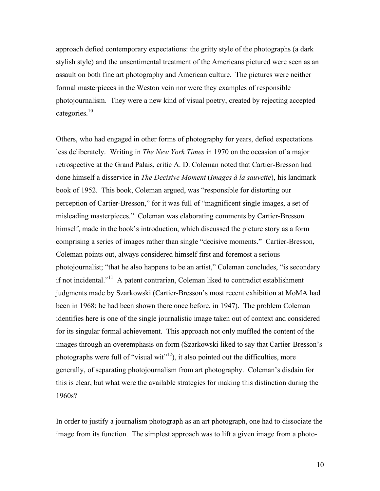approach defied contemporary expectations: the gritty style of the photographs (a dark stylish style) and the unsentimental treatment of the Americans pictured were seen as an assault on both fine art photography and American culture. The pictures were neither formal masterpieces in the Weston vein nor were they examples of responsible photojournalism. They were a new kind of visual poetry, created by rejecting accepted categories. 10

Others, who had engaged in other forms of photography for years, defied expectations less deliberately. Writing in *The New York Times* in 1970 on the occasion of a major retrospective at the Grand Palais, critic A. D. Coleman noted that Cartier-Bresson had done himself a disservice in *The Decisive Moment* (*Images à la sauvette*), his landmark book of 1952. This book, Coleman argued, was "responsible for distorting our perception of Cartier-Bresson," for it was full of "magnificent single images, a set of misleading masterpieces." Coleman was elaborating comments by Cartier-Bresson himself, made in the book's introduction, which discussed the picture story as a form comprising a series of images rather than single "decisive moments." Cartier-Bresson, Coleman points out, always considered himself first and foremost a serious photojournalist; "that he also happens to be an artist," Coleman concludes, "is secondary if not incidental."<sup>11</sup> A patent contrarian, Coleman liked to contradict establishment judgments made by Szarkowski (Cartier-Bresson's most recent exhibition at MoMA had been in 1968; he had been shown there once before, in 1947). The problem Coleman identifies here is one of the single journalistic image taken out of context and considered for its singular formal achievement. This approach not only muffled the content of the images through an overemphasis on form (Szarkowski liked to say that Cartier-Bresson's photographs were full of "visual wit"<sup>12</sup>), it also pointed out the difficulties, more generally, of separating photojournalism from art photography. Coleman's disdain for this is clear, but what were the available strategies for making this distinction during the 1960s?

In order to justify a journalism photograph as an art photograph, one had to dissociate the image from its function. The simplest approach was to lift a given image from a photo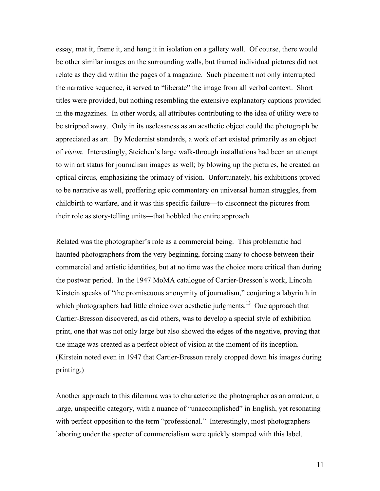essay, mat it, frame it, and hang it in isolation on a gallery wall. Of course, there would be other similar images on the surrounding walls, but framed individual pictures did not relate as they did within the pages of a magazine. Such placement not only interrupted the narrative sequence, it served to "liberate" the image from all verbal context. Short titles were provided, but nothing resembling the extensive explanatory captions provided in the magazines. In other words, all attributes contributing to the idea of utility were to be stripped away. Only in its uselessness as an aesthetic object could the photograph be appreciated as art. By Modernist standards, a work of art existed primarily as an object of *vision*. Interestingly, Steichen's large walk-through installations had been an attempt to win art status for journalism images as well; by blowing up the pictures, he created an optical circus, emphasizing the primacy of vision. Unfortunately, his exhibitions proved to be narrative as well, proffering epic commentary on universal human struggles, from childbirth to warfare, and it was this specific failure—to disconnect the pictures from their role as story-telling units—that hobbled the entire approach.

Related was the photographer's role as a commercial being. This problematic had haunted photographers from the very beginning, forcing many to choose between their commercial and artistic identities, but at no time was the choice more critical than during the postwar period. In the 1947 MoMA catalogue of Cartier-Bresson's work, Lincoln Kirstein speaks of "the promiscuous anonymity of journalism," conjuring a labyrinth in which photographers had little choice over aesthetic judgments.<sup>13</sup> One approach that Cartier-Bresson discovered, as did others, was to develop a special style of exhibition print, one that was not only large but also showed the edges of the negative, proving that the image was created as a perfect object of vision at the moment of its inception. (Kirstein noted even in 1947 that Cartier-Bresson rarely cropped down his images during printing.)

Another approach to this dilemma was to characterize the photographer as an amateur, a large, unspecific category, with a nuance of "unaccomplished" in English, yet resonating with perfect opposition to the term "professional." Interestingly, most photographers laboring under the specter of commercialism were quickly stamped with this label.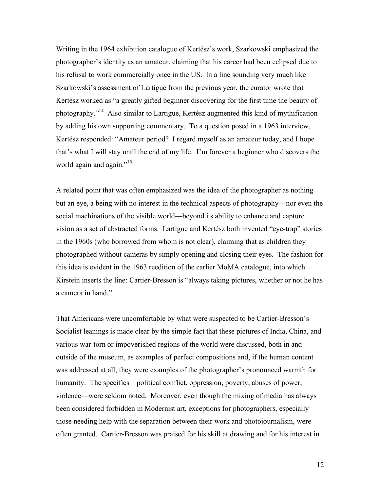Writing in the 1964 exhibition catalogue of Kertész's work, Szarkowski emphasized the photographer's identity as an amateur, claiming that his career had been eclipsed due to his refusal to work commercially once in the US. In a line sounding very much like Szarkowski's assessment of Lartigue from the previous year, the curator wrote that Kertész worked as "a greatly gifted beginner discovering for the first time the beauty of photography."<sup>14</sup> Also similar to Lartigue, Kertész augmented this kind of mythification by adding his own supporting commentary. To a question posed in a 1963 interview, Kertész responded: "Amateur period? I regard myself as an amateur today, and I hope that's what I will stay until the end of my life. I'm forever a beginner who discovers the world again and again."<sup>15</sup>

A related point that was often emphasized was the idea of the photographer as nothing but an eye, a being with no interest in the technical aspects of photography—nor even the social machinations of the visible world—beyond its ability to enhance and capture vision as a set of abstracted forms. Lartigue and Kertész both invented "eye-trap" stories in the 1960s (who borrowed from whom is not clear), claiming that as children they photographed without cameras by simply opening and closing their eyes. The fashion for this idea is evident in the 1963 reedition of the earlier MoMA catalogue, into which Kirstein inserts the line: Cartier-Bresson is "always taking pictures, whether or not he has a camera in hand."

That Americans were uncomfortable by what were suspected to be Cartier-Bresson's Socialist leanings is made clear by the simple fact that these pictures of India, China, and various war-torn or impoverished regions of the world were discussed, both in and outside of the museum, as examples of perfect compositions and, if the human content was addressed at all, they were examples of the photographer's pronounced warmth for humanity. The specifics—political conflict, oppression, poverty, abuses of power, violence—were seldom noted. Moreover, even though the mixing of media has always been considered forbidden in Modernist art, exceptions for photographers, especially those needing help with the separation between their work and photojournalism, were often granted. Cartier-Bresson was praised for his skill at drawing and for his interest in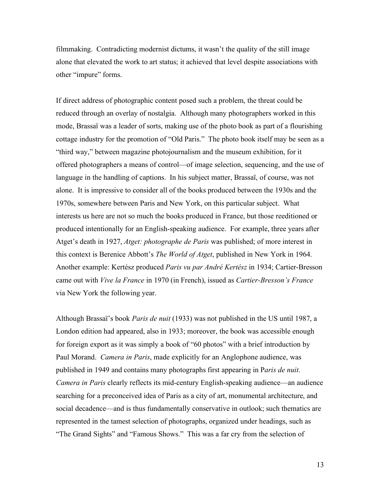filmmaking. Contradicting modernist dictums, it wasn't the quality of the still image alone that elevated the work to art status; it achieved that level despite associations with other "impure" forms.

If direct address of photographic content posed such a problem, the threat could be reduced through an overlay of nostalgia. Although many photographers worked in this mode, Brassaï was a leader of sorts, making use of the photo book as part of a flourishing cottage industry for the promotion of "Old Paris." The photo book itself may be seen as a "third way," between magazine photojournalism and the museum exhibition, for it offered photographers a means of control—of image selection, sequencing, and the use of language in the handling of captions. In his subject matter, Brassaï, of course, was not alone. It is impressive to consider all of the books produced between the 1930s and the 1970s, somewhere between Paris and New York, on this particular subject. What interests us here are not so much the books produced in France, but those reeditioned or produced intentionally for an English-speaking audience. For example, three years after Atget's death in 1927, *Atget: photographe de Paris* was published; of more interest in this context is Berenice Abbott's *The World of Atget*, published in New York in 1964. Another example: Kertész produced *Paris vu par André Kertész* in 1934; Cartier-Bresson came out with *Vive la France* in 1970 (in French), issued as *Cartier-Bresson's France* via New York the following year.

Although Brassaï's book *Paris de nuit* (1933) was not published in the US until 1987, a London edition had appeared, also in 1933; moreover, the book was accessible enough for foreign export as it was simply a book of "60 photos" with a brief introduction by Paul Morand. *Camera in Paris*, made explicitly for an Anglophone audience, was published in 1949 and contains many photographs first appearing in P*aris de nuit*. *Camera in Paris* clearly reflects its mid-century English-speaking audience—an audience searching for a preconceived idea of Paris as a city of art, monumental architecture, and social decadence—and is thus fundamentally conservative in outlook; such thematics are represented in the tamest selection of photographs, organized under headings, such as "The Grand Sights" and "Famous Shows." This was a far cry from the selection of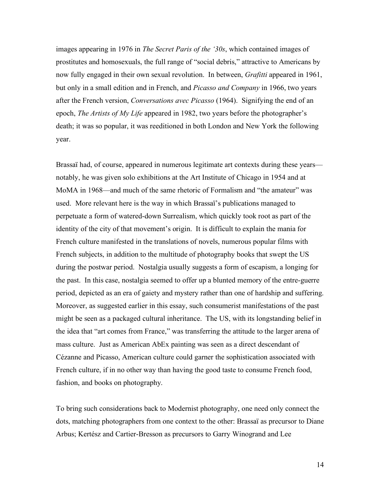images appearing in 1976 in *The Secret Paris of the '30s*, which contained images of prostitutes and homosexuals, the full range of "social debris," attractive to Americans by now fully engaged in their own sexual revolution. In between, *Grafitti* appeared in 1961, but only in a small edition and in French, and *Picasso and Company* in 1966, two years after the French version, *Conversations avec Picasso* (1964). Signifying the end of an epoch, *The Artists of My Life* appeared in 1982, two years before the photographer's death; it was so popular, it was reeditioned in both London and New York the following year.

Brassaï had, of course, appeared in numerous legitimate art contexts during these years notably, he was given solo exhibitions at the Art Institute of Chicago in 1954 and at MoMA in 1968—and much of the same rhetoric of Formalism and "the amateur" was used. More relevant here is the way in which Brassaï's publications managed to perpetuate a form of watered-down Surrealism, which quickly took root as part of the identity of the city of that movement's origin. It is difficult to explain the mania for French culture manifested in the translations of novels, numerous popular films with French subjects, in addition to the multitude of photography books that swept the US during the postwar period. Nostalgia usually suggests a form of escapism, a longing for the past. In this case, nostalgia seemed to offer up a blunted memory of the entre-guerre period, depicted as an era of gaiety and mystery rather than one of hardship and suffering. Moreover, as suggested earlier in this essay, such consumerist manifestations of the past might be seen as a packaged cultural inheritance. The US, with its longstanding belief in the idea that "art comes from France," was transferring the attitude to the larger arena of mass culture. Just as American AbEx painting was seen as a direct descendant of Cézanne and Picasso, American culture could garner the sophistication associated with French culture, if in no other way than having the good taste to consume French food, fashion, and books on photography.

To bring such considerations back to Modernist photography, one need only connect the dots, matching photographers from one context to the other: Brassaï as precursor to Diane Arbus; Kertész and Cartier-Bresson as precursors to Garry Winogrand and Lee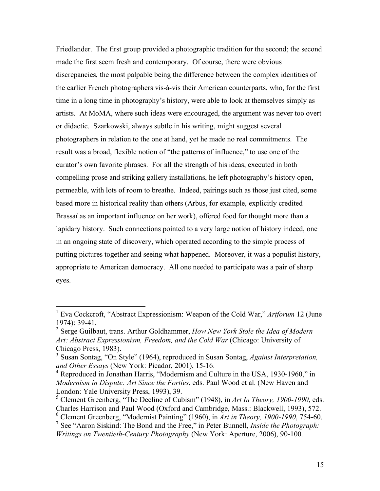Friedlander. The first group provided a photographic tradition for the second; the second made the first seem fresh and contemporary. Of course, there were obvious discrepancies, the most palpable being the difference between the complex identities of the earlier French photographers vis-à-vis their American counterparts, who, for the first time in a long time in photography's history, were able to look at themselves simply as artists. At MoMA, where such ideas were encouraged, the argument was never too overt or didactic. Szarkowski, always subtle in his writing, might suggest several photographers in relation to the one at hand, yet he made no real commitments. The result was a broad, flexible notion of "the patterns of influence," to use one of the curator's own favorite phrases. For all the strength of his ideas, executed in both compelling prose and striking gallery installations, he left photography's history open, permeable, with lots of room to breathe. Indeed, pairings such as those just cited, some based more in historical reality than others (Arbus, for example, explicitly credited Brassaï as an important influence on her work), offered food for thought more than a lapidary history. Such connections pointed to a very large notion of history indeed, one in an ongoing state of discovery, which operated according to the simple process of putting pictures together and seeing what happened. Moreover, it was a populist history, appropriate to American democracy. All one needed to participate was a pair of sharp eyes.

 <sup>1</sup> Eva Cockcroft, "Abstract Expressionism: Weapon of the Cold War," *Artforum* <sup>12</sup> (June 1974): 39-41. <sup>2</sup> Serge Guilbaut, trans. Arthur Goldhammer, *How New York Stole the Idea of Modern* 

*Art: Abstract Expressionism, Freedom, and the Cold War* (Chicago: University of Chicago Press, 1983). <sup>3</sup> Susan Sontag, "On Style" (1964), reproduced in Susan Sontag, *Against Interpretation,*

*and Other Essays* (New York: Picador, 2001), 15-16.

<sup>&</sup>lt;sup>4</sup> Reproduced in Jonathan Harris, "Modernism and Culture in the USA, 1930-1960," in *Modernism in Dispute: Art Since the Forties*, eds. Paul Wood et al. (New Haven and London: Yale University Press, 1993), 39.

<sup>5</sup> Clement Greenberg, "The Decline of Cubism" (1948), in *Art In Theory, 1900-1990*, eds. Charles Harrison and Paul Wood (Oxford and Cambridge, Mass.: Blackwell, 1993), 572.

<sup>6</sup> Clement Greenberg, "Modernist Painting" (1960), in *Art in Theory, 1900-1990*, 754-60. <sup>7</sup> See "Aaron Siskind: The Bond and the Free," in Peter Bunnell, *Inside the Photograph:*

*Writings on Twentieth-Century Photography* (New York: Aperture, 2006), 90-100.